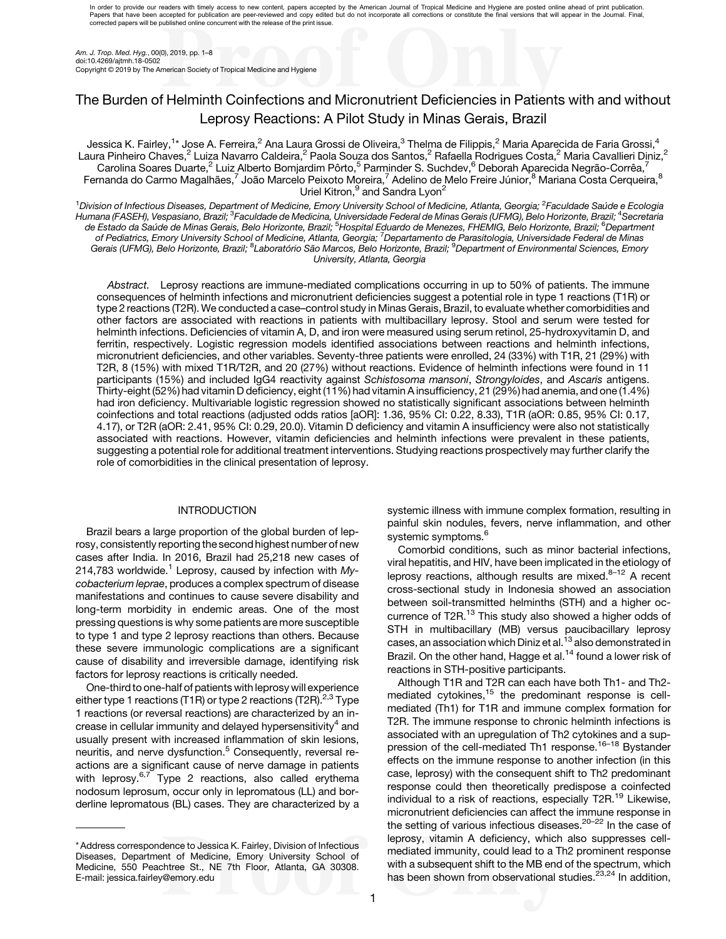In order to provide our readers with timely access to new content, papers accepted by the American Journal of Tropical Medicine and Hygiene are posted online ahead of print publication. Papers that have been accepted for publication are peer-reviewed and copy edited but do not incorporate all corrections or constitute the final versions that will appear in the Journal. Final,<br>corrected papers will be publ

Am. J. Trop. Med. Hyg., 00(0), 2019, pp. 1–8 doi:10.4269/ajtmh.18-0502 Copyright © 2019 by The American Society of Tropical Medicine and Hygiene

# The Burden of Helminth Coinfections and Micronutrient Deficiencies in Patients with and without Leprosy Reactions: A Pilot Study in Minas Gerais, Brazil

Jessica K. Fairley,<sup>1</sup>\* Jose A. Ferreira,<sup>2</sup> Ana Laura Grossi de Oliveira,<sup>3</sup> Thelma de Filippis,<sup>2</sup> Maria Aparecida de Faria Grossi,<sup>4</sup> Laura Pinheiro Chaves,<sup>2</sup> Luiza Navarro Caldeira,<sup>2</sup> Paola Souza dos Santos,<sup>2</sup> Rafaella Rodrigues Costa,<sup>2</sup> Maria Cavallieri Diniz,<sup>2</sup> Carolina Soares Duarte,<sup>2</sup> Luiz Alberto Bomjardim Pôrto,<sup>5</sup> Parminder S. Suchdev,<sup>6</sup> Deborah Aparecida Negrão-Corrêa,<sup>7</sup> Fernanda do Carmo Magalhães,<sup>7</sup> João Marcelo Peixoto Moreira,<sup>7</sup> Adelino de Melo Freire Júnior,<sup>8</sup> Mariana Costa Cerqueira,<sup>8</sup> Uriel Kitron,<sup>9</sup> and Sandra Lyon<sup>2</sup>

<sup>1</sup>Division of Infectious Diseases, Department of Medicine, Emory University School of Medicine, Atlanta, Georgia; <sup>2</sup>Faculdade Saúde e Ecologia Humana (FASEH), Vespasiano, Brazil; <sup>3</sup>Faculdade de Medicina, Universidade Federal de Minas Gerais (UFMG), Belo Horizonte, Brazil; <sup>4</sup>Secretaria de Estado da Saúde de Minas Gerais, Belo Horizonte, Brazil; <sup>5</sup>Hospital Eduardo de Menezes, FHEMIG, Belo Horizonte, Brazil; <sup>6</sup>Department of Pediatrics, Emory University School of Medicine, Atlanta, Georgia; <sup>7</sup>Departamento de Parasitologia, Universidade Federal de Minas Gerais (UFMG), Belo Horizonte, Brazil; <sup>8</sup>Laboratório São Marcos, Belo Horizonte, Brazil; <sup>9</sup>Department of Environmental Sciences, Emory University, Atlanta, Georgia

Abstract. Leprosy reactions are immune-mediated complications occurring in up to 50% of patients. The immune consequences of helminth infections and micronutrient deficiencies suggest a potential role in type 1 reactions (T1R) or type 2 reactions (T2R). We conducted a case–control study in Minas Gerais, Brazil, to evaluate whether comorbidities and other factors are associated with reactions in patients with multibacillary leprosy. Stool and serum were tested for helminth infections. Deficiencies of vitamin A, D, and iron were measured using serum retinol, 25-hydroxyvitamin D, and ferritin, respectively. Logistic regression models identified associations between reactions and helminth infections, micronutrient deficiencies, and other variables. Seventy-three patients were enrolled, 24 (33%) with T1R, 21 (29%) with T2R, 8 (15%) with mixed T1R/T2R, and 20 (27%) without reactions. Evidence of helminth infections were found in 11 participants (15%) and included IgG4 reactivity against Schistosoma mansoni, Strongyloides, and Ascaris antigens. Thirty-eight (52%) had vitamin D deficiency, eight (11%) had vitamin A insufficiency, 21 (29%) had anemia, and one (1.4%) had iron deficiency. Multivariable logistic regression showed no statistically significant associations between helminth coinfections and total reactions (adjusted odds ratios [aOR]: 1.36, 95% CI: 0.22, 8.33), T1R (aOR: 0.85, 95% CI: 0.17, 4.17), or T2R (aOR: 2.41, 95% CI: 0.29, 20.0). Vitamin D deficiency and vitamin A insufficiency were also not statistically associated with reactions. However, vitamin deficiencies and helminth infections were prevalent in these patients, suggesting a potential role for additional treatment interventions. Studying reactions prospectively may further clarify the role of comorbidities in the clinical presentation of leprosy.

# INTRODUCTION

Brazil bears a large proportion of the global burden of leprosy, consistently reporting the second highest number of new cases after India. In 2016, Brazil had 25,218 new cases of 2[1](#page-6-0)4,783 worldwide.<sup>1</sup> Leprosy, caused by infection with  $My$ cobacterium leprae, produces a complex spectrum of disease manifestations and continues to cause severe disability and long-term morbidity in endemic areas. One of the most pressing questions is why some patients are more susceptible to type 1 and type 2 leprosy reactions than others. Because these severe immunologic complications are a significant cause of disability and irreversible damage, identifying risk factors for leprosy reactions is critically needed.

One-third to one-half of patients with leprosy will experience either type 1 reactions (T1R) or type 2 reactions (T2R).<sup>[2,3](#page-6-0)</sup> Type 1 reactions (or reversal reactions) are characterized by an in-crease in cellular immunity and delayed hypersensitivity<sup>[4](#page-6-0)</sup> and usually present with increased inflammation of skin lesions, neuritis, and nerve dysfunction.<sup>[5](#page-6-0)</sup> Consequently, reversal reactions are a significant cause of nerve damage in patients with leprosy.<sup>[6,7](#page-6-0)</sup> Type 2 reactions, also called erythema nodosum leprosum, occur only in lepromatous (LL) and borderline lepromatous (BL) cases. They are characterized by a

\* Address correspondence to Jessica K. Fairley, Division of Infectious Diseases, Department of Medicine, Emory University School of Medicine, 550 Peachtree St., NE 7th Floor, Atlanta, GA 30308. E-mail: [jessica.fairley@emory.edu](mailto:jessica.fairley@emory.edu)

systemic illness with immune complex formation, resulting in painful skin nodules, fevers, nerve inflammation, and other systemic symptoms.<sup>[6](#page-6-0)</sup>

Comorbid conditions, such as minor bacterial infections, viral hepatitis, and HIV, have been implicated in the etiology of leprosy reactions, although results are mixed. $8-12$  $8-12$  $8-12$  A recent cross-sectional study in Indonesia showed an association between soil-transmitted helminths (STH) and a higher occurrence of T2R.<sup>13</sup> This study also showed a higher odds of STH in multibacillary (MB) versus paucibacillary leprosy cases, an association which Diniz et al.<sup>13</sup> also demonstrated in Brazil. On the other hand, Hagge et al.<sup>[14](#page-6-0)</sup> found a lower risk of reactions in STH-positive participants.

Although T1R and T2R can each have both Th1- and Th2 mediated cytokines, $15$  the predominant response is cellmediated (Th1) for T1R and immune complex formation for T2R. The immune response to chronic helminth infections is associated with an upregulation of Th2 cytokines and a suppression of the cell-mediated Th1 response.[16](#page-6-0)–[18](#page-6-0) Bystander effects on the immune response to another infection (in this case, leprosy) with the consequent shift to Th2 predominant response could then theoretically predispose a coinfected individual to a risk of reactions, especially T2R.<sup>[19](#page-6-0)</sup> Likewise, micronutrient deficiencies can affect the immune response in the setting of various infectious diseases.<sup>20-[22](#page-6-0)</sup> In the case of leprosy, vitamin A deficiency, which also suppresses cellmediated immunity, could lead to a Th2 prominent response with a subsequent shift to the MB end of the spectrum, which has been shown from observational studies.<sup>[23,24](#page-6-0)</sup> In addition,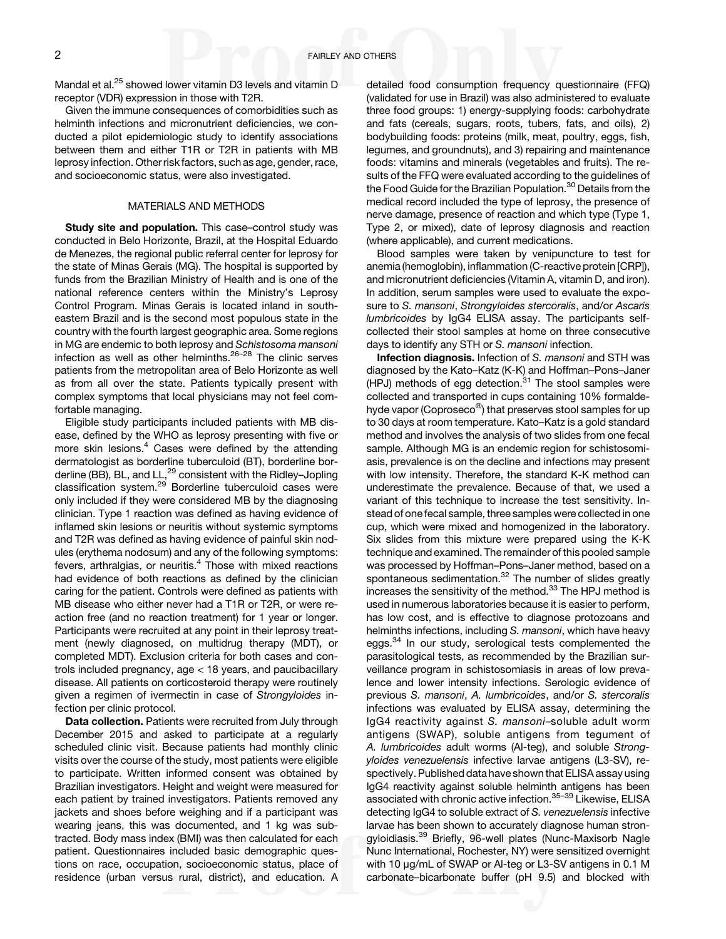Mandal et al.<sup>25</sup> showed lower vitamin D3 levels and vitamin D receptor (VDR) expression in those with T2R.

Given the immune consequences of comorbidities such as helminth infections and micronutrient deficiencies, we conducted a pilot epidemiologic study to identify associations between them and either T1R or T2R in patients with MB leprosy infection. Other risk factors, such as age, gender, race, and socioeconomic status, were also investigated.

### MATERIALS AND METHODS

Study site and population. This case-control study was conducted in Belo Horizonte, Brazil, at the Hospital Eduardo de Menezes, the regional public referral center for leprosy for the state of Minas Gerais (MG). The hospital is supported by funds from the Brazilian Ministry of Health and is one of the national reference centers within the Ministry's Leprosy Control Program. Minas Gerais is located inland in southeastern Brazil and is the second most populous state in the country with the fourth largest geographic area. Some regions in MG are endemic to both leprosy and Schistosoma mansoni infection as well as other helminths. $26-28$  $26-28$  The clinic serves patients from the metropolitan area of Belo Horizonte as well as from all over the state. Patients typically present with complex symptoms that local physicians may not feel comfortable managing.

Eligible study participants included patients with MB disease, defined by the WHO as leprosy presenting with five or more skin lesions.<sup>[4](#page-6-0)</sup> Cases were defined by the attending dermatologist as borderline tuberculoid (BT), borderline borderline (BB), BL, and LL,<sup>29</sup> consistent with the Ridley–Jopling classification system.<sup>[29](#page-6-0)</sup> Borderline tuberculoid cases were only included if they were considered MB by the diagnosing clinician. Type 1 reaction was defined as having evidence of inflamed skin lesions or neuritis without systemic symptoms and T2R was defined as having evidence of painful skin nodules (erythema nodosum) and any of the following symptoms: fevers, arthralgias, or neuritis. $4$  Those with mixed reactions had evidence of both reactions as defined by the clinician caring for the patient. Controls were defined as patients with MB disease who either never had a T1R or T2R, or were reaction free (and no reaction treatment) for 1 year or longer. Participants were recruited at any point in their leprosy treatment (newly diagnosed, on multidrug therapy (MDT), or completed MDT). Exclusion criteria for both cases and controls included pregnancy, age < 18 years, and paucibacillary disease. All patients on corticosteroid therapy were routinely given a regimen of ivermectin in case of Strongyloides infection per clinic protocol.

Data collection. Patients were recruited from July through December 2015 and asked to participate at a regularly scheduled clinic visit. Because patients had monthly clinic visits over the course of the study, most patients were eligible to participate. Written informed consent was obtained by Brazilian investigators. Height and weight were measured for each patient by trained investigators. Patients removed any jackets and shoes before weighing and if a participant was wearing jeans, this was documented, and 1 kg was subtracted. Body mass index (BMI) was then calculated for each patient. Questionnaires included basic demographic questions on race, occupation, socioeconomic status, place of residence (urban versus rural, district), and education. A detailed food consumption frequency questionnaire (FFQ) (validated for use in Brazil) was also administered to evaluate three food groups: 1) energy-supplying foods: carbohydrate and fats (cereals, sugars, roots, tubers, fats, and oils), 2) bodybuilding foods: proteins (milk, meat, poultry, eggs, fish, legumes, and groundnuts), and 3) repairing and maintenance foods: vitamins and minerals (vegetables and fruits). The results of the FFQ were evaluated according to the guidelines of the Food Guide for the Brazilian Population.<sup>[30](#page-6-0)</sup> Details from the medical record included the type of leprosy, the presence of nerve damage, presence of reaction and which type (Type 1, Type 2, or mixed), date of leprosy diagnosis and reaction (where applicable), and current medications.

Blood samples were taken by venipuncture to test for anemia (hemoglobin), inflammation (C-reactive protein [CRP]), and micronutrient deficiencies (Vitamin A, vitamin D, and iron). In addition, serum samples were used to evaluate the exposure to S. mansoni, Strongyloides stercoralis, and/or Ascaris lumbricoides by IgG4 ELISA assay. The participants selfcollected their stool samples at home on three consecutive days to identify any STH or S. mansoni infection.

Infection diagnosis. Infection of S. mansoni and STH was diagnosed by the Kato–Katz (K-K) and Hoffman–Pons–Janer (HPJ) methods of egg detection.<sup>[31](#page-7-0)</sup> The stool samples were collected and transported in cups containing 10% formaldehyde vapor (Coproseco<sup>®</sup>) that preserves stool samples for up to 30 days at room temperature. Kato–Katz is a gold standard method and involves the analysis of two slides from one fecal sample. Although MG is an endemic region for schistosomiasis, prevalence is on the decline and infections may present with low intensity. Therefore, the standard K-K method can underestimate the prevalence. Because of that, we used a variant of this technique to increase the test sensitivity. Instead of one fecal sample, three samples were collected in one cup, which were mixed and homogenized in the laboratory. Six slides from this mixture were prepared using the K-K technique and examined. The remainder of this pooled sample was processed by Hoffman–Pons–Janer method, based on a spontaneous sedimentation.<sup>[32](#page-7-0)</sup> The number of slides greatly increases the sensitivity of the method.[33](#page-7-0) The HPJ method is used in numerous laboratories because it is easier to perform, has low cost, and is effective to diagnose protozoans and helminths infections, including S. mansoni, which have heavy eggs.<sup>[34](#page-7-0)</sup> In our study, serological tests complemented the parasitological tests, as recommended by the Brazilian surveillance program in schistosomiasis in areas of low prevalence and lower intensity infections. Serologic evidence of previous S. mansoni, A. lumbricoides, and/or S. stercoralis infections was evaluated by ELISA assay, determining the IgG4 reactivity against S. mansoni–soluble adult worm antigens (SWAP), soluble antigens from tegument of A. lumbricoides adult worms (Al-teg), and soluble Strongyloides venezuelensis infective larvae antigens (L3-SV), respectively. Published data have shown that ELISA assay using IgG4 reactivity against soluble helminth antigens has been associated with chronic active infection.[35](#page-7-0)–[39](#page-7-0) Likewise, ELISA detecting IgG4 to soluble extract of S. venezuelensis infective larvae has been shown to accurately diagnose human strongyloidiasis.[39](#page-7-0) Briefly, 96-well plates (Nunc-Maxisorb Nagle Nunc International, Rochester, NY) were sensitized overnight with 10 μg/mL of SWAP or Al-teg or L3-SV antigens in 0.1 M carbonate–bicarbonate buffer (pH 9.5) and blocked with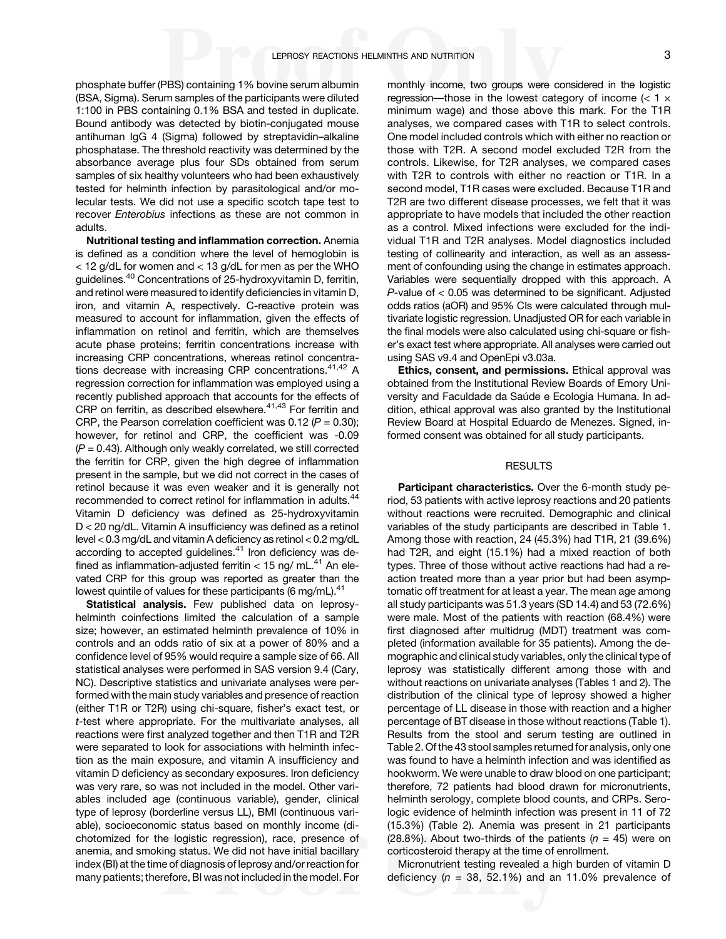phosphate buffer (PBS) containing 1% bovine serum albumin (BSA, Sigma). Serum samples of the participants were diluted 1:100 in PBS containing 0.1% BSA and tested in duplicate. Bound antibody was detected by biotin-conjugated mouse antihuman IgG 4 (Sigma) followed by streptavidin–alkaline phosphatase. The threshold reactivity was determined by the absorbance average plus four SDs obtained from serum samples of six healthy volunteers who had been exhaustively tested for helminth infection by parasitological and/or molecular tests. We did not use a specific scotch tape test to recover Enterobius infections as these are not common in adults.

Nutritional testing and inflammation correction. Anemia is defined as a condition where the level of hemoglobin is < 12 g/dL for women and < 13 g/dL for men as per the WHO guidelines.[40](#page-7-0) Concentrations of 25-hydroxyvitamin D, ferritin, and retinol were measured to identify deficiencies in vitamin D, iron, and vitamin A, respectively. C-reactive protein was measured to account for inflammation, given the effects of inflammation on retinol and ferritin, which are themselves acute phase proteins; ferritin concentrations increase with increasing CRP concentrations, whereas retinol concentra-tions decrease with increasing CRP concentrations.<sup>[41,42](#page-7-0)</sup> A regression correction for inflammation was employed using a recently published approach that accounts for the effects of CRP on ferritin, as described elsewhere.<sup>[41](#page-7-0),[43](#page-7-0)</sup> For ferritin and CRP, the Pearson correlation coefficient was 0.12 ( $P = 0.30$ ); however, for retinol and CRP, the coefficient was -0.09  $(P = 0.43)$ . Although only weakly correlated, we still corrected the ferritin for CRP, given the high degree of inflammation present in the sample, but we did not correct in the cases of retinol because it was even weaker and it is generally not recommended to correct retinol for inflammation in adults.<sup>44</sup> Vitamin D deficiency was defined as 25-hydroxyvitamin D < 20 ng/dL. Vitamin A insufficiency was defined as a retinol level < 0.3 mg/dL and vitamin A deficiency as retinol < 0.2 mg/dL according to accepted guidelines.<sup>[41](#page-7-0)</sup> Iron deficiency was defined as inflammation-adjusted ferritin  $<$  15 ng/ mL.<sup>[41](#page-7-0)</sup> An elevated CRP for this group was reported as greater than the lowest quintile of values for these participants (6 mg/mL). $41$ 

Statistical analysis. Few published data on leprosyhelminth coinfections limited the calculation of a sample size; however, an estimated helminth prevalence of 10% in controls and an odds ratio of six at a power of 80% and a confidence level of 95% would require a sample size of 66. All statistical analyses were performed in SAS version 9.4 (Cary, NC). Descriptive statistics and univariate analyses were performed with the main study variables and presence of reaction (either T1R or T2R) using chi-square, fisher's exact test, or t-test where appropriate. For the multivariate analyses, all reactions were first analyzed together and then T1R and T2R were separated to look for associations with helminth infection as the main exposure, and vitamin A insufficiency and vitamin D deficiency as secondary exposures. Iron deficiency was very rare, so was not included in the model. Other variables included age (continuous variable), gender, clinical type of leprosy (borderline versus LL), BMI (continuous variable), socioeconomic status based on monthly income (dichotomized for the logistic regression), race, presence of anemia, and smoking status. We did not have initial bacillary index (BI) at the time of diagnosis of leprosy and/or reaction for many patients; therefore, BI was not included in the model. For monthly income, two groups were considered in the logistic regression—those in the lowest category of income  $\left($  < 1  $\times$ minimum wage) and those above this mark. For the T1R analyses, we compared cases with T1R to select controls. One model included controls which with either no reaction or those with T2R. A second model excluded T2R from the controls. Likewise, for T2R analyses, we compared cases with T2R to controls with either no reaction or T1R. In a second model, T1R cases were excluded. Because T1R and T2R are two different disease processes, we felt that it was appropriate to have models that included the other reaction as a control. Mixed infections were excluded for the individual T1R and T2R analyses. Model diagnostics included testing of collinearity and interaction, as well as an assessment of confounding using the change in estimates approach. Variables were sequentially dropped with this approach. A  $P$ -value of  $<$  0.05 was determined to be significant. Adjusted odds ratios (aOR) and 95% CIs were calculated through multivariate logistic regression. Unadjusted OR for each variable in the final models were also calculated using chi-square or fisher's exact test where appropriate. All analyses were carried out using SAS v9.4 and OpenEpi v3.03a.

Ethics, consent, and permissions. Ethical approval was obtained from the Institutional Review Boards of Emory University and Faculdade da Saúde e Ecologia Humana. In addition, ethical approval was also granted by the Institutional Review Board at Hospital Eduardo de Menezes. Signed, informed consent was obtained for all study participants.

# RESULTS

Participant characteristics. Over the 6-month study period, 53 patients with active leprosy reactions and 20 patients without reactions were recruited. Demographic and clinical variables of the study participants are described in [Table 1](#page-3-0). Among those with reaction, 24 (45.3%) had T1R, 21 (39.6%) had T2R, and eight (15.1%) had a mixed reaction of both types. Three of those without active reactions had had a reaction treated more than a year prior but had been asymptomatic off treatment for at least a year. The mean age among all study participants was 51.3 years (SD 14.4) and 53 (72.6%) were male. Most of the patients with reaction (68.4%) were first diagnosed after multidrug (MDT) treatment was completed (information available for 35 patients). Among the demographic and clinical study variables, only the clinical type of leprosy was statistically different among those with and without reactions on univariate analyses ([Tables 1](#page-3-0) and [2](#page-4-0)). The distribution of the clinical type of leprosy showed a higher percentage of LL disease in those with reaction and a higher percentage of BT disease in those without reactions ([Table 1](#page-3-0)). Results from the stool and serum testing are outlined in [Table 2](#page-4-0). Of the 43 stool samples returned for analysis, only one was found to have a helminth infection and was identified as hookworm. We were unable to draw blood on one participant; therefore, 72 patients had blood drawn for micronutrients, helminth serology, complete blood counts, and CRPs. Serologic evidence of helminth infection was present in 11 of 72 (15.3%) [\(Table 2](#page-4-0)). Anemia was present in 21 participants (28.8%). About two-thirds of the patients ( $n = 45$ ) were on corticosteroid therapy at the time of enrollment.

Micronutrient testing revealed a high burden of vitamin D deficiency ( $n = 38, 52.1\%$ ) and an 11.0% prevalence of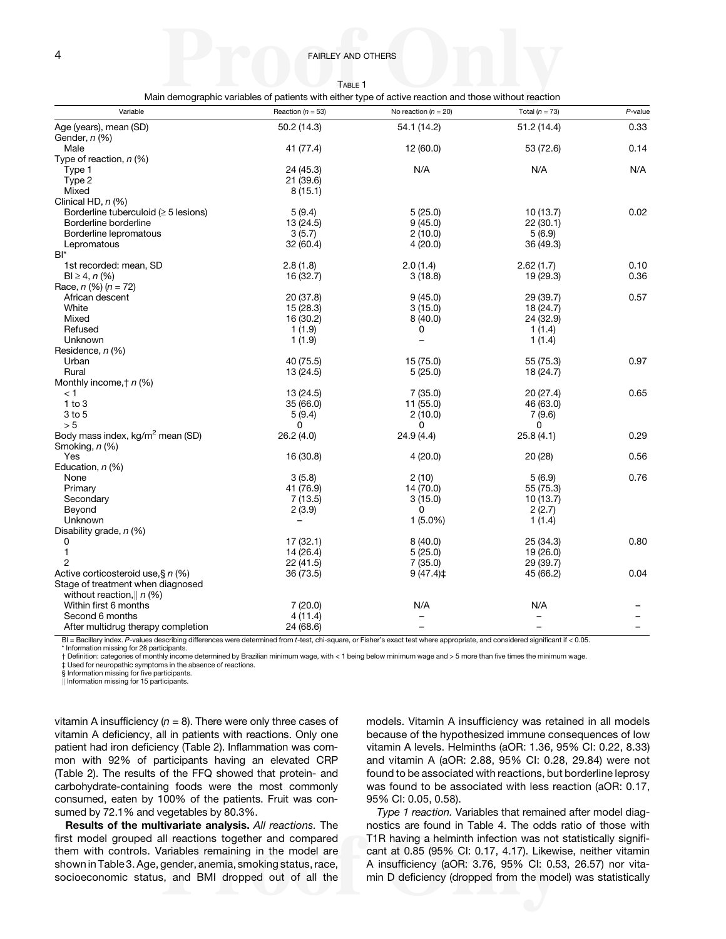|--|--|

Main demographic variables of patients with either type of active reaction and those without reaction

<span id="page-3-0"></span>

| Variable                                       | Reaction ( $n = 53$ ) | No reaction $(n = 20)$ | Total ( $n = 73$ ) | $P$ -value |
|------------------------------------------------|-----------------------|------------------------|--------------------|------------|
| Age (years), mean (SD)<br>Gender, <i>n</i> (%) | 50.2 (14.3)           | 54.1 (14.2)            | 51.2(14.4)         | 0.33       |
| Male                                           | 41 (77.4)             | 12 (60.0)              | 53 (72.6)          | 0.14       |
| Type of reaction, $n$ (%)                      |                       |                        |                    |            |
| Type 1                                         | 24 (45.3)             | N/A                    | N/A                | N/A        |
| Type 2                                         | 21 (39.6)             |                        |                    |            |
| Mixed                                          | 8(15.1)               |                        |                    |            |
| Clinical HD, n (%)                             |                       |                        |                    |            |
| Borderline tuberculoid ( $\geq$ 5 lesions)     | 5(9.4)                | 5(25.0)                | 10(13.7)           | 0.02       |
| Borderline borderline                          | 13 (24.5)             | 9(45.0)                | 22(30.1)           |            |
| Borderline lepromatous                         | 3(5.7)                | 2(10.0)                | 5(6.9)             |            |
| Lepromatous                                    | 32 (60.4)             | 4(20.0)                | 36 (49.3)          |            |
| $BI^*$                                         |                       |                        |                    |            |
| 1st recorded: mean, SD                         | 2.8(1.8)              | 2.0(1.4)               | 2.62(1.7)          | 0.10       |
| $BI \ge 4, n (%)$                              | 16 (32.7)             | 3(18.8)                | 19 (29.3)          | 0.36       |
| Race, $n$ (%) $(n = 72)$                       |                       |                        |                    |            |
| African descent                                | 20 (37.8)             | 9(45.0)                | 29 (39.7)          | 0.57       |
| White                                          | 15(28.3)              | 3(15.0)                | 18(24.7)           |            |
| Mixed                                          | 16 (30.2)             | 8(40.0)                | 24 (32.9)          |            |
| Refused                                        | 1(1.9)                | 0                      | 1(1.4)             |            |
| Unknown                                        | 1(1.9)                | -                      | 1(1.4)             |            |
| Residence, n (%)                               |                       |                        |                    |            |
| Urban                                          | 40 (75.5)             | 15 (75.0)              | 55 (75.3)          | 0.97       |
| Rural                                          | 13 (24.5)             | 5(25.0)                | 18 (24.7)          |            |
| Monthly income, $\uparrow$ n (%)               |                       |                        |                    |            |
| < 1                                            | 13 (24.5)             | 7(35.0)                | 20 (27.4)          | 0.65       |
| 1 to 3                                         | 35 (66.0)             | 11 (55.0)              | 46 (63.0)          |            |
| $3$ to $5$                                     | 5(9.4)                | 2(10.0)                | 7(9.6)             |            |
| > 5                                            | $\Omega$              | 0                      | $\Omega$           |            |
| Body mass index, kg/m <sup>2</sup> mean (SD)   | 26.2 (4.0)            | 24.9 (4.4)             | 25.8(4.1)          | 0.29       |
| Smoking, n (%)<br>Yes                          |                       | 4(20.0)                |                    |            |
| Education, $n$ (%)                             | 16 (30.8)             |                        | 20 (28)            | 0.56       |
| None                                           | 3(5.8)                | 2(10)                  | 5(6.9)             | 0.76       |
| Primary                                        | 41 (76.9)             | 14 (70.0)              | 55 (75.3)          |            |
| Secondary                                      | 7(13.5)               | 3(15.0)                | 10(13.7)           |            |
| Beyond                                         | 2(3.9)                | $\Omega$               | 2(2.7)             |            |
| Unknown                                        |                       | $1(5.0\%)$             | 1(1.4)             |            |
| Disability grade, $n$ (%)                      |                       |                        |                    |            |
| 0                                              | 17(32.1)              | 8(40.0)                | 25 (34.3)          | 0.80       |
| 1                                              | 14 (26.4)             | 5(25.0)                | 19 (26.0)          |            |
| $\overline{2}$                                 | 22(41.5)              | 7(35.0)                | 29 (39.7)          |            |
| Active corticosteroid use, § n (%)             | 36 (73.5)             | 9(47.4)                | 45 (66.2)          | 0.04       |
| Stage of treatment when diagnosed              |                       |                        |                    |            |
| without reaction, $\parallel$ n (%)            |                       |                        |                    |            |
| Within first 6 months                          | 7(20.0)               | N/A                    | N/A                |            |
| Second 6 months                                | 4(11.4)               |                        |                    |            |
| After multidrug therapy completion             | 24 (68.6)             |                        |                    |            |

BI = Bacillary index. P-values describing differences were determined from t-test, chi-square, or Fisher's exact test where appropriate, and considered significant if < 0.05. Information missing for 28 participants.

† Definition: categories of monthly income determined by Brazilian minimum wage, with < 1 being below minimum wage and > 5 more than five times the minimum wage.

‡ Used for neuropathic symptoms in the absence of reactions. § Information missing for five participants.

 $\parallel$  Information missing for 15 participants.

vitamin A insufficiency  $(n = 8)$ . There were only three cases of vitamin A deficiency, all in patients with reactions. Only one patient had iron deficiency ([Table 2](#page-4-0)). Inflammation was common with 92% of participants having an elevated CRP [\(Table 2](#page-4-0)). The results of the FFQ showed that protein- and carbohydrate-containing foods were the most commonly consumed, eaten by 100% of the patients. Fruit was consumed by 72.1% and vegetables by 80.3%.

Results of the multivariate analysis. All reactions. The first model grouped all reactions together and compared them with controls. Variables remaining in the model are shown in [Table 3](#page-4-0). Age, gender, anemia, smoking status, race, socioeconomic status, and BMI dropped out of all the models. Vitamin A insufficiency was retained in all models because of the hypothesized immune consequences of low vitamin A levels. Helminths (aOR: 1.36, 95% CI: 0.22, 8.33) and vitamin A (aOR: 2.88, 95% CI: 0.28, 29.84) were not found to be associated with reactions, but borderline leprosy was found to be associated with less reaction (aOR: 0.17, 95% CI: 0.05, 0.58).

Type 1 reaction. Variables that remained after model diagnostics are found in [Table 4](#page-4-0). The odds ratio of those with T1R having a helminth infection was not statistically significant at 0.85 (95% CI: 0.17, 4.17). Likewise, neither vitamin A insufficiency (aOR: 3.76, 95% CI: 0.53, 26.57) nor vitamin D deficiency (dropped from the model) was statistically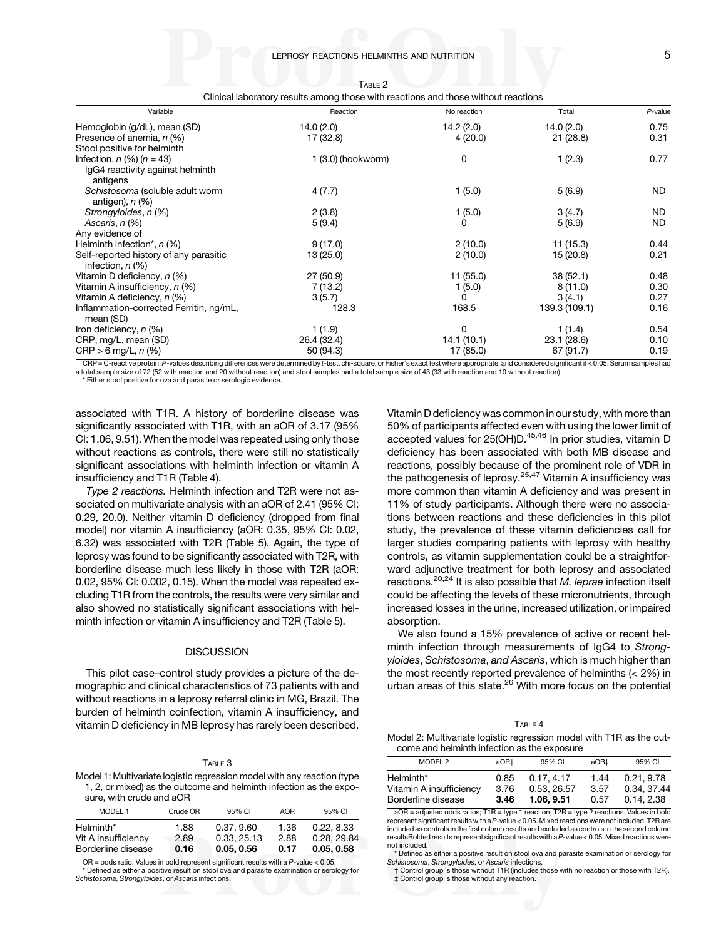<span id="page-4-0"></span>

| Variable                                                                                                | Reaction                        | No reaction | Total         | $P$ -value |
|---------------------------------------------------------------------------------------------------------|---------------------------------|-------------|---------------|------------|
| Hemoglobin (g/dL), mean (SD)                                                                            | 14.0(2.0)                       | 14.2(2.0)   | 14.0 (2.0)    | 0.75       |
| Presence of anemia, n (%)                                                                               | 17 (32.8)                       | 4 (20.0)    | 21(28.8)      | 0.31       |
| Stool positive for helminth                                                                             |                                 |             |               |            |
| Infection, $n$ (%) ( $n = 43$ )                                                                         | $1(3.0)$ (hookworm)             | 0           | 1(2.3)        | 0.77       |
| IgG4 reactivity against helminth<br>antigens                                                            |                                 |             |               |            |
| Schistosoma (soluble adult worm<br>antigen), $n$ $%$                                                    | 4(7.7)                          | 1(5.0)      | 5(6.9)        | ND.        |
| Strongyloides, n (%)                                                                                    | 2(3.8)                          | 1(5.0)      | 3(4.7)        | ND.        |
| Ascaris, n (%)                                                                                          | 5(9.4)                          | 0           | 5(6.9)        | ND.        |
| Any evidence of                                                                                         |                                 |             |               |            |
| Helminth infection*, $n$ (%)                                                                            | 9(17.0)                         | 2(10.0)     | 11(15.3)      | 0.44       |
| Self-reported history of any parasitic<br>infection, $n$ (%)                                            | 13 (25.0)                       | 2(10.0)     | 15 (20.8)     | 0.21       |
| Vitamin D deficiency, n (%)                                                                             | 27 (50.9)                       | 11(55.0)    | 38(52.1)      | 0.48       |
| Vitamin A insufficiency, n (%)                                                                          | 7(13.2)                         | 1(5.0)      | 8(11.0)       | 0.30       |
| Vitamin A deficiency, n (%)                                                                             | 3(5.7)                          | 0           | 3(4.1)        | 0.27       |
| Inflammation-corrected Ferritin, ng/mL,<br>mean (SD)                                                    | 128.3                           | 168.5       | 139.3 (109.1) | 0.16       |
| Iron deficiency, n (%)                                                                                  | 1(1.9)                          | 0           | 1(1.4)        | 0.54       |
| CRP, mg/L, mean (SD)                                                                                    | 26.4 (32.4)                     | 14.1(10.1)  | 23.1 (28.6)   | 0.10       |
| $CRP > 6$ mg/L, n $(\%)$<br>$ODD$ , $O$ and $H$ and $H$ and $O$ and $H$ and $H$ and $H$ and $H$ and $H$ | 50 (94.3)<br><b>EXAMINATION</b> | 17 (85.0)   | 67 (91.7)     | 0.19       |

| ы |  |
|---|--|
|---|--|

Clinical laboratory results among those with reactions and those without reactions

 $\mathsf{CRP}$  = C-reactive protein. P-values describing differences were determined by t-test, chi-square, or Fisher's exact test where appropriate, and considered significant if < 0.05. Serum samples had a total sample size of 72 (52 with reaction and 20 without reaction) and stool samples had a total sample size of 43 (33 with reaction and 10 without reaction).

\* Either stool positive for ova and parasite or serologic evidence.

associated with T1R. A history of borderline disease was significantly associated with T1R, with an aOR of 3.17 (95% CI: 1.06, 9.51). When the model was repeated using only those without reactions as controls, there were still no statistically significant associations with helminth infection or vitamin A insufficiency and T1R (Table 4).

Type 2 reactions. Helminth infection and T2R were not associated on multivariate analysis with an aOR of 2.41 (95% CI: 0.29, 20.0). Neither vitamin D deficiency (dropped from final model) nor vitamin A insufficiency (aOR: 0.35, 95% CI: 0.02, 6.32) was associated with T2R ([Table 5\)](#page-5-0). Again, the type of leprosy was found to be significantly associated with T2R, with borderline disease much less likely in those with T2R (aOR: 0.02, 95% CI: 0.002, 0.15). When the model was repeated excluding T1R from the controls, the results were very similar and also showed no statistically significant associations with helminth infection or vitamin A insufficiency and T2R [\(Table 5\)](#page-5-0).

## **DISCUSSION**

This pilot case–control study provides a picture of the demographic and clinical characteristics of 73 patients with and without reactions in a leprosy referral clinic in MG, Brazil. The burden of helminth coinfection, vitamin A insufficiency, and vitamin D deficiency in MB leprosy has rarely been described.

#### TABLE 3

Model 1: Multivariate logistic regression model with any reaction (type 1, 2, or mixed) as the outcome and helminth infection as the exposure, with crude and aOR

| MODEL <sub>1</sub>                                     | Crude OR             | 95% CI                                  | <b>AOR</b>           | 95% CI                                  |
|--------------------------------------------------------|----------------------|-----------------------------------------|----------------------|-----------------------------------------|
| Helminth*<br>Vit A insufficiency<br>Borderline disease | 1.88<br>2.89<br>0.16 | 0.37, 9.60<br>0.33, 25.13<br>0.05, 0.56 | 1.36<br>2.88<br>0.17 | 0.22, 8.33<br>0.28, 29.84<br>0.05, 0.58 |

 $OR = odds$  ratio. Values in bold represent significant results with a P-value  $< 0.05$ . Defined as either a positive result on stool ova and parasite examination or serology for Schistosoma, Strongyloides, or Ascaris infections.

Vitamin D deficiency was common in our study, with more than 50% of participants affected even with using the lower limit of accepted values for 25(OH)D.<sup>[45,46](#page-7-0)</sup> In prior studies, vitamin D deficiency has been associated with both MB disease and reactions, possibly because of the prominent role of VDR in the pathogenesis of leprosy.[25,](#page-6-0)[47](#page-7-0) Vitamin A insufficiency was more common than vitamin A deficiency and was present in 11% of study participants. Although there were no associations between reactions and these deficiencies in this pilot study, the prevalence of these vitamin deficiencies call for larger studies comparing patients with leprosy with healthy controls, as vitamin supplementation could be a straightforward adjunctive treatment for both leprosy and associated reactions.<sup>[20](#page-6-0),[24](#page-6-0)</sup> It is also possible that M. leprae infection itself could be affecting the levels of these micronutrients, through increased losses in the urine, increased utilization, or impaired absorption.

We also found a 15% prevalence of active or recent helminth infection through measurements of IgG4 to Strongyloides, Schistosoma, and Ascaris, which is much higher than the most recently reported prevalence of helminths (< 2%) in urban areas of this state.<sup>[26](#page-6-0)</sup> With more focus on the potential

#### $T_{\text{ARI}}$   $\in$  4

Model 2: Multivariate logistic regression model with T1R as the outcome and helminth infection as the exposure

| MODEL 2<br>95% CI<br>aOR+<br>aOR‡                                                                                                                    |  |  |                                        |
|------------------------------------------------------------------------------------------------------------------------------------------------------|--|--|----------------------------------------|
|                                                                                                                                                      |  |  | 95% CI                                 |
| Helminth*<br>0.17, 4.17<br>1.44<br>0.85<br>Vitamin A insufficiency<br>3.57<br>0.53, 26.57<br>3.76<br>Borderline disease<br>1.06.9.51<br>0.57<br>3.46 |  |  | 0.21.9.78<br>0.34, 37.44<br>0.14, 2.38 |

 $aOR =$  adjusted odds ratios;  $T1R =$  type 1 reaction;  $T2R =$  type 2 reactions. Values in bold represent significant results with aP-value < 0.05. Mixed reactions were not included. T2R are included as controls in the first column results and excluded as controls in the second column resultsBolded results represent significant results with aP-value < 0.05. Mixed reactions were not included.

\* Defined as either a positive result on stool ova and parasite examination or serology for Schistosoma, Strongyloides, or Ascaris infections.

† Control group is those without T1R (includes those with no reaction or those with T2R). ‡ Control group is those without any reaction.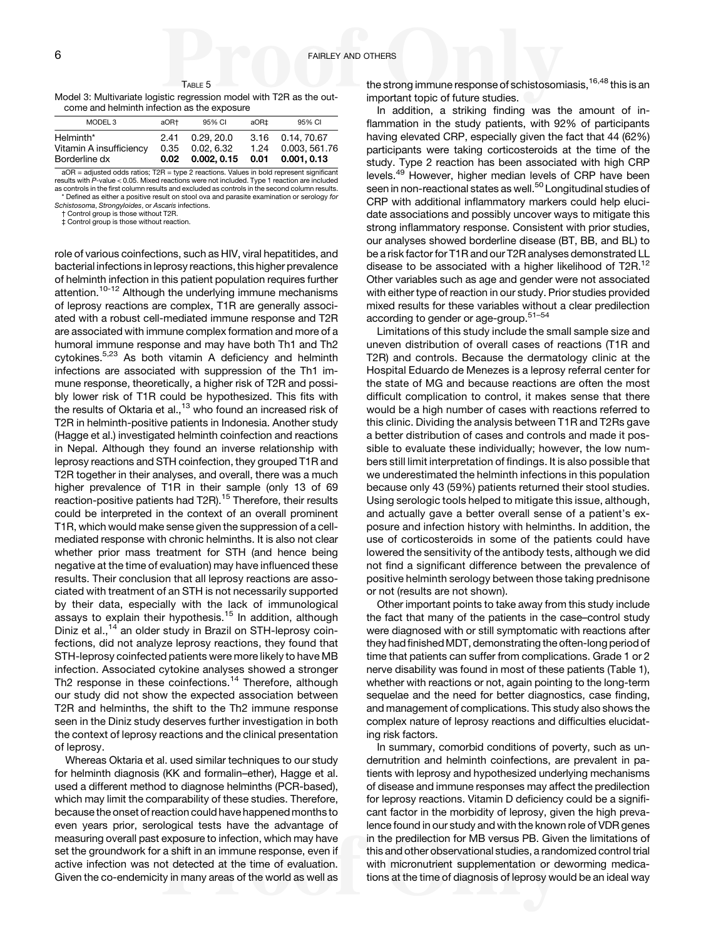<span id="page-5-0"></span>TABLE 5 Model 3: Multivariate logistic regression model with T2R as the outcome and helminth infection as the exposure

| MODEL <sub>3</sub>                                    | aOR+                 | 95% CI                                | aOR±         | 95% CI                                           |
|-------------------------------------------------------|----------------------|---------------------------------------|--------------|--------------------------------------------------|
| Helminth*<br>Vitamin A insufficiency<br>Borderline dx | 2.41<br>0.35<br>0.02 | 0.29.20.0<br>0.02, 6.32<br>0.002.0.15 | 1.24<br>0.01 | 3.16 0.14, 70.67<br>0.003, 561.76<br>0.001, 0.13 |

aOR = adjusted odds ratios; T2R = type 2 reactions. Values in bold represent significant results with P-value < 0.05. Mixed reactions were not included. Type 1 reaction are included as controls in the first column results and excluded as controls in the second column results Defined as either a positive result on stool ova and parasite examination or serology for

Schistosoma, Strongyloides, or Ascaris infections.

† Control group is those without T2R. ‡ Control group is those without reaction.

role of various coinfections, such as HIV, viral hepatitides, and bacterial infections in leprosy reactions, this higher prevalence of helminth infection in this patient population requires further attention.<sup>10-12</sup> Although the underlying immune mechanisms of leprosy reactions are complex, T1R are generally associated with a robust cell-mediated immune response and T2R are associated with immune complex formation and more of a humoral immune response and may have both Th1 and Th2 cytokines.<sup>5,[23](#page-6-0)</sup> As both vitamin A deficiency and helminth infections are associated with suppression of the Th1 immune response, theoretically, a higher risk of T2R and possibly lower risk of T1R could be hypothesized. This fits with the results of Oktaria et al., $13$  who found an increased risk of T2R in helminth-positive patients in Indonesia. Another study (Hagge et al.) investigated helminth coinfection and reactions in Nepal. Although they found an inverse relationship with leprosy reactions and STH coinfection, they grouped T1R and T2R together in their analyses, and overall, there was a much higher prevalence of T1R in their sample (only 13 of 69 reaction-positive patients had T2R).<sup>[15](#page-6-0)</sup> Therefore, their results could be interpreted in the context of an overall prominent T1R, which would make sense given the suppression of a cellmediated response with chronic helminths. It is also not clear whether prior mass treatment for STH (and hence being negative at the time of evaluation) may have influenced these results. Their conclusion that all leprosy reactions are associated with treatment of an STH is not necessarily supported by their data, especially with the lack of immunological assays to explain their hypothesis.<sup>[15](#page-6-0)</sup> In addition, although Diniz et al.,<sup>[14](#page-6-0)</sup> an older study in Brazil on STH-leprosy coinfections, did not analyze leprosy reactions, they found that STH-leprosy coinfected patients were more likely to have MB infection. Associated cytokine analyses showed a stronger Th2 response in these coinfections.<sup>[14](#page-6-0)</sup> Therefore, although our study did not show the expected association between T2R and helminths, the shift to the Th2 immune response seen in the Diniz study deserves further investigation in both the context of leprosy reactions and the clinical presentation of leprosy.

Whereas Oktaria et al. used similar techniques to our study for helminth diagnosis (KK and formalin–ether), Hagge et al. used a different method to diagnose helminths (PCR-based), which may limit the comparability of these studies. Therefore, because the onset of reaction could have happened months to even years prior, serological tests have the advantage of measuring overall past exposure to infection, which may have set the groundwork for a shift in an immune response, even if active infection was not detected at the time of evaluation. Given the co-endemicity in many areas of the world as well as

the strong immune response of schistosomiasis,  $16,48$  $16,48$  $16,48$  this is an important topic of future studies.

In addition, a striking finding was the amount of inflammation in the study patients, with 92% of participants having elevated CRP, especially given the fact that 44 (62%) participants were taking corticosteroids at the time of the study. Type 2 reaction has been associated with high CRP levels.[49](#page-7-0) However, higher median levels of CRP have been seen in non-reactional states as well.<sup>50</sup> Longitudinal studies of CRP with additional inflammatory markers could help elucidate associations and possibly uncover ways to mitigate this strong inflammatory response. Consistent with prior studies, our analyses showed borderline disease (BT, BB, and BL) to be a risk factor for T1R and our T2R analyses demonstrated LL disease to be associated with a higher likelihood of T2R.<sup>[12](#page-6-0)</sup> Other variables such as age and gender were not associated with either type of reaction in our study. Prior studies provided mixed results for these variables without a clear predilection according to gender or age-group.[51](#page-7-0)–[54](#page-7-0)

Limitations of this study include the small sample size and uneven distribution of overall cases of reactions (T1R and T2R) and controls. Because the dermatology clinic at the Hospital Eduardo de Menezes is a leprosy referral center for the state of MG and because reactions are often the most difficult complication to control, it makes sense that there would be a high number of cases with reactions referred to this clinic. Dividing the analysis between T1R and T2Rs gave a better distribution of cases and controls and made it possible to evaluate these individually; however, the low numbers still limit interpretation of findings. It is also possible that we underestimated the helminth infections in this population because only 43 (59%) patients returned their stool studies. Using serologic tools helped to mitigate this issue, although, and actually gave a better overall sense of a patient's exposure and infection history with helminths. In addition, the use of corticosteroids in some of the patients could have lowered the sensitivity of the antibody tests, although we did not find a significant difference between the prevalence of positive helminth serology between those taking prednisone or not (results are not shown).

Other important points to take away from this study include the fact that many of the patients in the case–control study were diagnosed with or still symptomatic with reactions after they had finished MDT, demonstrating the often-long period of time that patients can suffer from complications. Grade 1 or 2 nerve disability was found in most of these patients ([Table 1\)](#page-3-0), whether with reactions or not, again pointing to the long-term sequelae and the need for better diagnostics, case finding, and management of complications. This study also shows the complex nature of leprosy reactions and difficulties elucidating risk factors.

In summary, comorbid conditions of poverty, such as undernutrition and helminth coinfections, are prevalent in patients with leprosy and hypothesized underlying mechanisms of disease and immune responses may affect the predilection for leprosy reactions. Vitamin D deficiency could be a significant factor in the morbidity of leprosy, given the high prevalence found in our study and with the known role of VDR genes in the predilection for MB versus PB. Given the limitations of this and other observational studies, a randomized control trial with micronutrient supplementation or deworming medications at the time of diagnosis of leprosy would be an ideal way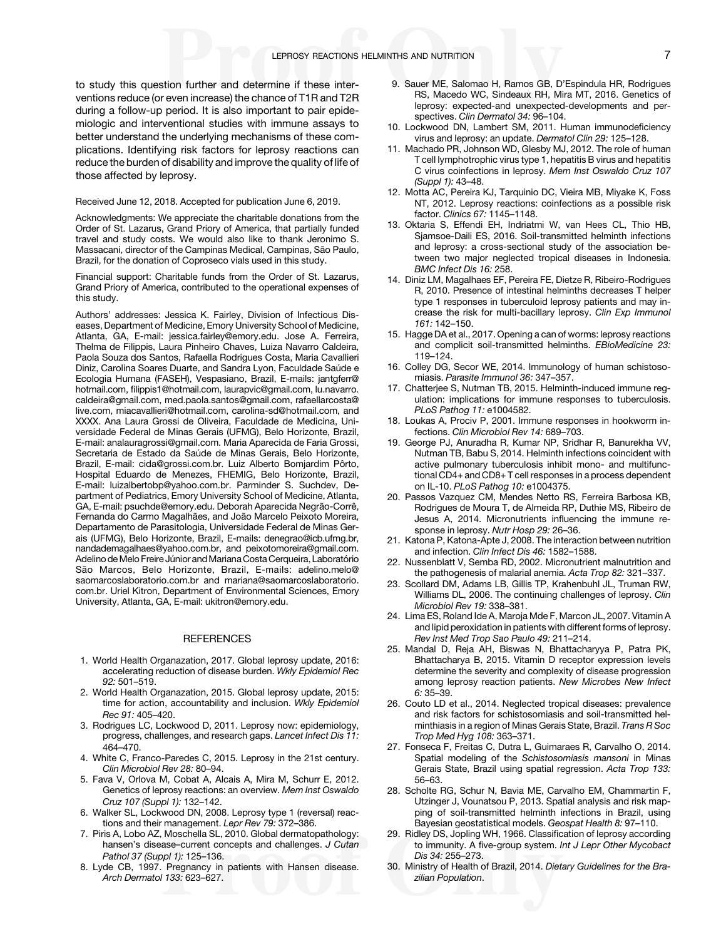<span id="page-6-0"></span>to study this question further and determine if these interventions reduce (or even increase) the chance of T1R and T2R during a follow-up period. It is also important to pair epidemiologic and interventional studies with immune assays to better understand the underlying mechanisms of these complications. Identifying risk factors for leprosy reactions can reduce the burden of disability and improve the quality of life of those affected by leprosy.

#### Received June 12, 2018. Accepted for publication June 6, 2019.

Acknowledgments: We appreciate the charitable donations from the Order of St. Lazarus, Grand Priory of America, that partially funded travel and study costs. We would also like to thank Jeronimo S. Massacani, director of the Campinas Medical, Campinas, São Paulo, Brazil, for the donation of Coproseco vials used in this study.

Financial support: Charitable funds from the Order of St. Lazarus, Grand Priory of America, contributed to the operational expenses of this study.

Authors' addresses: Jessica K. Fairley, Division of Infectious Diseases, Department of Medicine, Emory University School of Medicine, Atlanta, GA, E-mail: [jessica.fairley@emory.edu](mailto:jessica.fairley@emory.edu). Jose A. Ferreira, Thelma de Filippis, Laura Pinheiro Chaves, Luiza Navarro Caldeira, Paola Souza dos Santos, Rafaella Rodrigues Costa, Maria Cavallieri Diniz, Carolina Soares Duarte, and Sandra Lyon, Faculdade Saúde e Ecologia Humana (FASEH), Vespasiano, Brazil, E-mails: [jantgferr@](mailto:jantgferr@hotmail.com) [hotmail.com](mailto:jantgferr@hotmail.com), fi[lippis1@hotmail.com,](mailto:filippis1@hotmail.com) [laurapvic@gmail.com,](mailto:laurapvic@gmail.com) [lu.navarro.](mailto:lu.navarro.caldeira@gmail.com) [caldeira@gmail.com](mailto:lu.navarro.caldeira@gmail.com), [med.paola.santos@gmail.com,](mailto:med.paola.santos@gmail.com) [rafaellarcosta@](mailto:rafaellarcosta@live.com) [live.com](mailto:rafaellarcosta@live.com), [miacavallieri@hotmail.com,](mailto:miacavallieri@hotmail.com) [carolina-sd@hotmail.com,](mailto:carolina-sd@hotmail.com) and XXXX. Ana Laura Grossi de Oliveira, Faculdade de Medicina, Universidade Federal de Minas Gerais (UFMG), Belo Horizonte, Brazil, E-mail: [analauragrossi@gmail.com](mailto:analauragrossi@gmail.com). Maria Aparecida de Faria Grossi, Secretaria de Estado da Saúde de Minas Gerais, Belo Horizonte, Brazil, E-mail: [cida@grossi.com.br.](mailto:cida@grossi.com.br) Luiz Alberto Bomjardim Pôrto, Hospital Eduardo de Menezes, FHEMIG, Belo Horizonte, Brazil, E-mail: [luizalbertobp@yahoo.com.br](mailto:luizalbertobp@yahoo.com.br). Parminder S. Suchdev, Department of Pediatrics, Emory University School of Medicine, Atlanta, GA, E-mail: [psuchde@emory.edu](mailto:psuchde@emory.edu). Deborah Aparecida Negrão-Corrê, Fernanda do Carmo Magalhães, and João Marcelo Peixoto Moreira, Departamento de Parasitologia, Universidade Federal de Minas Gerais (UFMG), Belo Horizonte, Brazil, E-mails: [denegrao@icb.ufmg.br,](mailto:denegrao@icb.ufmg.br) [nandademagalhaes@yahoo.com.br,](mailto:nandademagalhaes@yahoo.com.br) and [peixotomoreira@gmail.com.](mailto:peixotomoreira@gmail.com) Adelino de Melo Freire Júnior and Mariana Costa Cerqueira, Laboratório São Marcos, Belo Horizonte, Brazil, E-mails: [adelino.melo@](mailto:adelino.melo@saomarcoslaboratorio.com.br) [saomarcoslaboratorio.com.br](mailto:adelino.melo@saomarcoslaboratorio.com.br) and [mariana@saomarcoslaboratorio.](mailto:mariana@saomarcoslaboratorio.com.br) [com.br.](mailto:mariana@saomarcoslaboratorio.com.br) Uriel Kitron, Department of Environmental Sciences, Emory University, Atlanta, GA, E-mail: [ukitron@emory.edu](mailto:ukitron@emory.edu).

#### **REFERENCES**

- 1. World Health Organazation, 2017. Global leprosy update, 2016: accelerating reduction of disease burden. Wkly Epidemiol Rec 92: 501–519.
- 2. World Health Organazation, 2015. Global leprosy update, 2015: time for action, accountability and inclusion. Wkly Epidemiol Rec 91: 405–420.
- 3. Rodrigues LC, Lockwood D, 2011. Leprosy now: epidemiology, progress, challenges, and research gaps. Lancet Infect Dis 11: 464–470.
- 4. White C, Franco-Paredes C, 2015. Leprosy in the 21st century. Clin Microbiol Rev 28: 80–94.
- 5. Fava V, Orlova M, Cobat A, Alcais A, Mira M, Schurr E, 2012. Genetics of leprosy reactions: an overview. Mem Inst Oswaldo Cruz 107 (Suppl 1): 132–142.
- 6. Walker SL, Lockwood DN, 2008. Leprosy type 1 (reversal) reactions and their management. Lepr Rev 79: 372–386.
- 7. Piris A, Lobo AZ, Moschella SL, 2010. Global dermatopathology: hansen's disease–current concepts and challenges. J Cutan Pathol 37 (Suppl 1): 125–136.
- 8. Lyde CB, 1997. Pregnancy in patients with Hansen disease. Arch Dermatol 133: 623–627.
- 9. Sauer ME, Salomao H, Ramos GB, D'Espindula HR, Rodrigues RS, Macedo WC, Sindeaux RH, Mira MT, 2016. Genetics of leprosy: expected-and unexpected-developments and perspectives. Clin Dermatol 34: 96–104.
- 10. Lockwood DN, Lambert SM, 2011. Human immunodeficiency virus and leprosy: an update. Dermatol Clin 29: 125–128.
- 11. Machado PR, Johnson WD, Glesby MJ, 2012. The role of human T cell lymphotrophic virus type 1, hepatitis B virus and hepatitis C virus coinfections in leprosy. Mem Inst Oswaldo Cruz 107 (Suppl 1): 43–48.
- 12. Motta AC, Pereira KJ, Tarquinio DC, Vieira MB, Miyake K, Foss NT, 2012. Leprosy reactions: coinfections as a possible risk factor. Clinics 67: 1145–1148.
- 13. Oktaria S, Effendi EH, Indriatmi W, van Hees CL, Thio HB, Sjamsoe-Daili ES, 2016. Soil-transmitted helminth infections and leprosy: a cross-sectional study of the association between two major neglected tropical diseases in Indonesia. BMC Infect Dis 16: 258.
- 14. Diniz LM, Magalhaes EF, Pereira FE, Dietze R, Ribeiro-Rodrigues R, 2010. Presence of intestinal helminths decreases T helper type 1 responses in tuberculoid leprosy patients and may increase the risk for multi-bacillary leprosy. Clin Exp Immunol 161: 142–150.
- 15. Hagge DA et al., 2017. Opening a can of worms: leprosy reactions and complicit soil-transmitted helminths. EBioMedicine 23: 119–124.
- 16. Colley DG, Secor WE, 2014. Immunology of human schistosomiasis. Parasite Immunol 36: 347–357.
- 17. Chatterjee S, Nutman TB, 2015. Helminth-induced immune regulation: implications for immune responses to tuberculosis. PLoS Pathog 11: e1004582.
- 18. Loukas A, Prociv P, 2001. Immune responses in hookworm infections. Clin Microbiol Rev 14: 689–703.
- 19. George PJ, Anuradha R, Kumar NP, Sridhar R, Banurekha VV, Nutman TB, Babu S, 2014. Helminth infections coincident with active pulmonary tuberculosis inhibit mono- and multifunctional CD4+ and CD8+ T cell responses in a process dependent on IL-10. PLoS Pathog 10: e1004375.
- 20. Passos Vazquez CM, Mendes Netto RS, Ferreira Barbosa KB, Rodrigues de Moura T, de Almeida RP, Duthie MS, Ribeiro de Jesus A, 2014. Micronutrients influencing the immune response in leprosy. Nutr Hosp 29: 26–36.
- 21. Katona P, Katona-Apte J, 2008. The interaction between nutrition and infection. Clin Infect Dis 46: 1582–1588.
- 22. Nussenblatt V, Semba RD, 2002. Micronutrient malnutrition and the pathogenesis of malarial anemia. Acta Trop 82: 321–337.
- 23. Scollard DM, Adams LB, Gillis TP, Krahenbuhl JL, Truman RW, Williams DL, 2006. The continuing challenges of leprosy. Clin Microbiol Rev 19: 338–381.
- 24. Lima ES, Roland Ide A, Maroja Mde F, Marcon JL, 2007. Vitamin A and lipid peroxidation in patients with different forms of leprosy. Rev Inst Med Trop Sao Paulo 49: 211–214.
- 25. Mandal D, Reja AH, Biswas N, Bhattacharyya P, Patra PK, Bhattacharya B, 2015. Vitamin D receptor expression levels determine the severity and complexity of disease progression among leprosy reaction patients. New Microbes New Infect 6: 35–39.
- 26. Couto LD et al., 2014. Neglected tropical diseases: prevalence and risk factors for schistosomiasis and soil-transmitted helminthiasis in a region of Minas Gerais State, Brazil. Trans R Soc Trop Med Hyg 108: 363–371.
- 27. Fonseca F, Freitas C, Dutra L, Guimaraes R, Carvalho O, 2014. Spatial modeling of the Schistosomiasis mansoni in Minas Gerais State, Brazil using spatial regression. Acta Trop 133: 56–63.
- 28. Scholte RG, Schur N, Bavia ME, Carvalho EM, Chammartin F, Utzinger J, Vounatsou P, 2013. Spatial analysis and risk mapping of soil-transmitted helminth infections in Brazil, using Bayesian geostatistical models. Geospat Health 8: 97–110.
- 29. Ridley DS, Jopling WH, 1966. Classification of leprosy according to immunity. A five-group system. Int J Lepr Other Mycobact Dis 34: 255–273.
- 30. Ministry of Health of Brazil, 2014. Dietary Guidelines for the Brazilian Population.